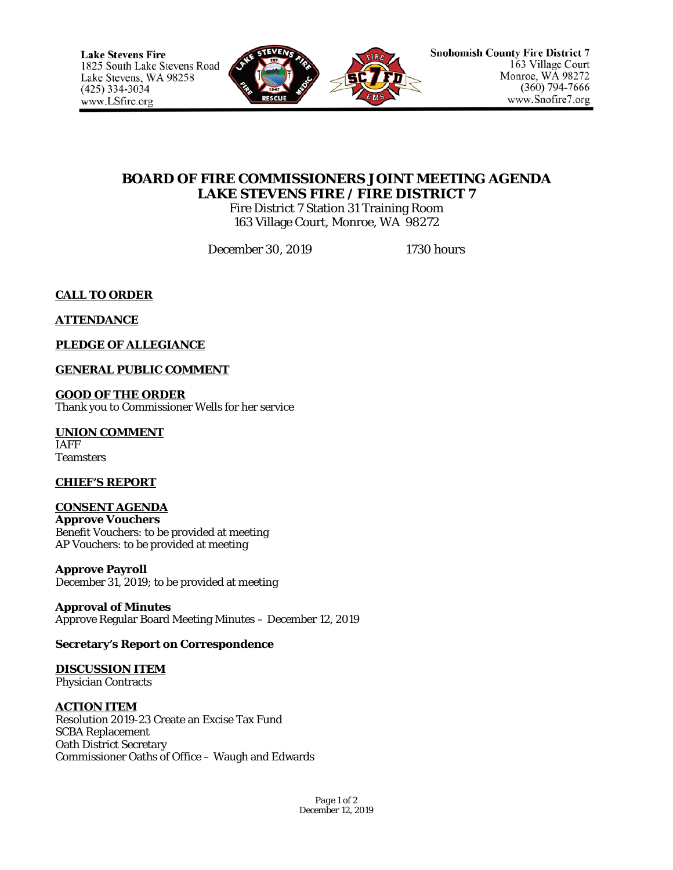

# **BOARD OF FIRE COMMISSIONERS JOINT MEETING AGENDA LAKE STEVENS FIRE / FIRE DISTRICT 7**

Fire District 7 Station 31 Training Room 163 Village Court, Monroe, WA 98272

December 30, 2019 1730 hours

**CALL TO ORDER**

**ATTENDANCE**

**PLEDGE OF ALLEGIANCE**

**GENERAL PUBLIC COMMENT**

**GOOD OF THE ORDER** Thank you to Commissioner Wells for her service

**UNION COMMENT** IAFF **Teamsters** 

**CHIEF'S REPORT**

**CONSENT AGENDA Approve Vouchers** Benefit Vouchers: to be provided at meeting AP Vouchers: to be provided at meeting

**Approve Payroll** December 31, 2019; to be provided at meeting

**Approval of Minutes** Approve Regular Board Meeting Minutes – December 12, 2019

# **Secretary's Report on Correspondence**

**DISCUSSION ITEM** Physician Contracts

**ACTION ITEM**

Resolution 2019-23 Create an Excise Tax Fund SCBA Replacement Oath District Secretary Commissioner Oaths of Office – Waugh and Edwards